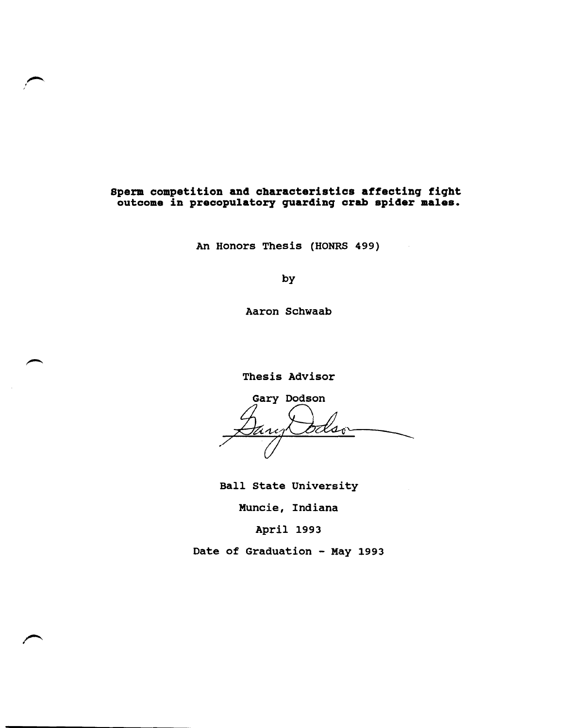# **Sperm competition and characteristics affectinq fiqht outcome in precopulatory quardinq crab spider males.**

An Honors Thesis (HONRS 499)

by

Aaron Schwaab

Thesis Advisor

Gary Dodson It sar えんへ

Ball state University

Muncie, Indiana

April 1993

Date of Graduation - May 1993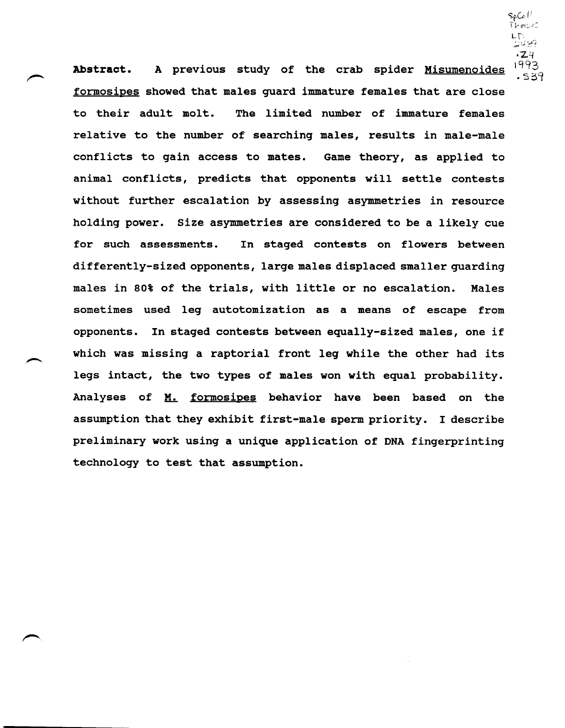$\mathsf{Sp}\mathsf{Co}\, \mathsf{l}^{\pm}$  $1-e^{-1}$  $\mathsf{L}\mathsf{D}$  $\rightarrow$   $+$   $+$   $+$   $+$  $-2.4$ 

**Abstract.**  A previous study of the crab spider Misumenoides  $^{1993}_{539}$ formosipes showed that males guard immature females that are close to their adult molt. The limited number of immature females relative to the number of searching males, results in male-male conflicts to gain access to mates. Game theory, as applied to animal conflicts, predicts that opponents will settle contests without further escalation by assessing asymmetries in resource holding power. Size asymmetries are considered to be a likely cue for such assessments. In staged contests on flowers between differently-sized opponents, large males displaced smaller guarding males in 80% of the trials, with little or no escalation. Males sometimes used leg autotomization as a means of escape from opponents. In staged contests between equally-sized males, one if which was missing a raptorial front leg while the other had its legs intact, the two types of males won with equal probability. Analyses of M. formosipes behavior have been based on the assumption that they exhibit first-male sperm priority. I describe preliminary work using a unique application of DNA fingerprinting technology to test that assumption.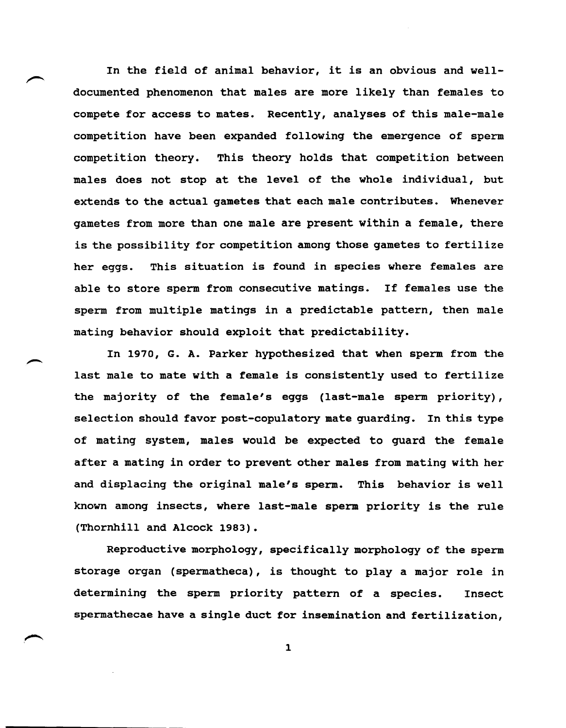In the field of animal behavior, it is an obvious and welldocumented phenomenon that males are more likely than females to compete for access to mates. Recently, analyses of this male-male competition have been expanded following the emergence of sperm competition theory. This theory holds that competition between males does not stop at the level of the whole individual, but extends to the actual gametes that each male contributes. Whenever gametes from more than one male are present within a female, there is the possibility for competition among those gametes to fertilize her eggs. This situation is found in species where females are able to store sperm from consecutive matings. If females use the sperm from multiple matings in a predictable pattern, then male mating behavior should exploit that predictability.

In 1970, G. A. Parker hypothesized that when sperm from the last male to mate with a female is consistently used to fertilize the majority of the female's eggs (last-male sperm priority), selection should favor post-copulatory mate guarding. In this type of mating system, males would be expected to guard the female after a mating in order to prevent other males from mating with her and displacing the original male's sperm. This behavior is well known among insects, where last-male sperm priority is the rule (Thornhill and Alcock 1983).

Reproductive morphology, specifically morphology of the sperm storage organ (spermatheca), is thought to playa major role in determining the sperm priority pattern of a species. Insect spermathecae have a single duct for insemination and fertilization,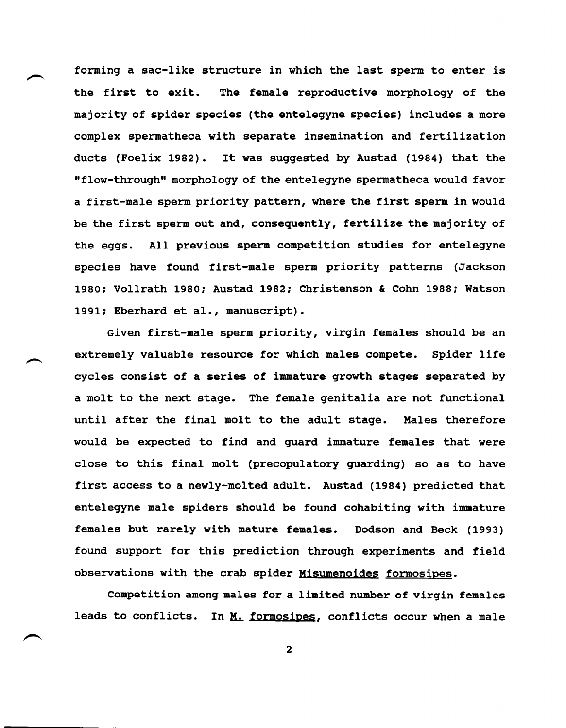forming a sac-like structure in which the last sperm to enter is the first to exit. The female reproductive morphology of the majority of spider species (the entelegyne species) includes a more complex spermatheca with separate insemination and fertilization ducts (Foelix 1982). It was suggested by Austad (1984) that the "flow-through" morphology of the entelegyne spermatheca would favor a first-male sperm priority pattern, where the first sperm in would be the first sperm out and, consequently, fertilize the majority of the eggs. All previous sperm competition studies for entelegyne species have found first-male sperm priority patterns (Jackson 1980; Vollrath 1980; Austad 1982; Christenson & Cohn 1988; Watson 1991; Eberhard et al., manuscript).

Given first-male sperm priority, virgin females should be an extremely valuable resource for which males compete. spider life cycles consist of a series of immature growth stages separated by a molt to the next stage. The female genitalia are not functional until after the final molt to the adult stage. Males therefore would be expected to find and guard immature females that were close to this final molt (precopulatory guarding) so as to have first access to a newly-molted adult. Austad (1984) predicted that entelegyne male spiders should be found cohabiting with immature females but rarely with mature females. Dodson and Beck (1993) found support for this prediction through experiments and field observations with the crab spider Misumenoides formosipes.

Competition among males for a limited number of virgin females leads to conflicts. In  $M$ , formosipes, conflicts occur when a male</u>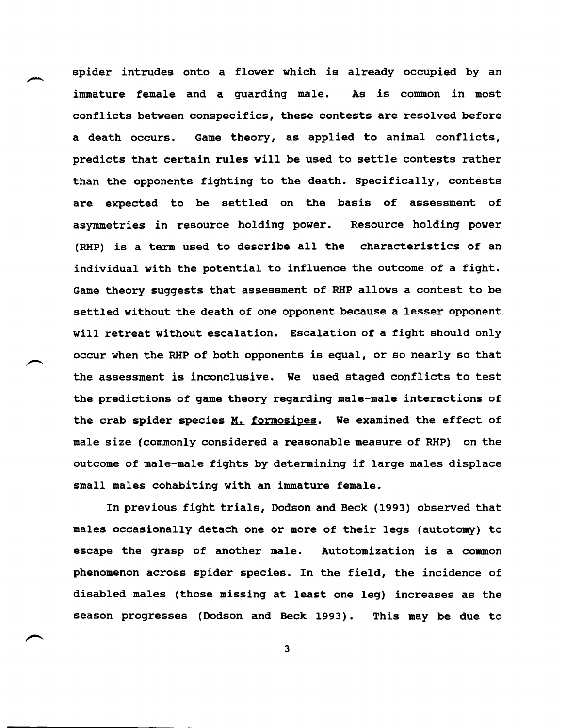spider intrudes onto a flower which is already occupied by an immature female and a quarding male. As is common in most conflicts between conspecifics, these contests are resolved before a death occurs. Game theory, as applied to animal conflicts, predicts that certain rules will be used to settle contests rather than the opponents fighting to the death. specifically, contests are expected to be settled on the basis of assessment of asymmetries in resource holding power. Resource holding power (RHP) is a term used to describe all the characteristics of an individual with the potential to influence the outcome of a fight. Game theory suggests that assessment of RHP allows a contest to be settled without the death of one opponent because a lesser opponent will retreat without escalation. Escalation of a fight should only occur when the RHP of both opponents is equal, or so nearly so that the assessment is inconclusive. We used staged conflicts to test the predictions of game theory regarding male-male interactions of the crab spider species  $M.$  formosipes. We examined the effect of male size (commonly considered a reasonable measure of RHP) on the outcome of male-male fights by determining if large males displace small males cohabiting with an immature female.

In previous fight trials, Dodson and Beck (1993) observed that males occasionally detach one or more of their legs (autotomy) to escape the grasp of another male. Autotomization is a common phenomenon across spider species. In the field, the incidence of disabled males (those missing at least one leg) increases as the season progresses (Dodson and Beck 1993). This may be due to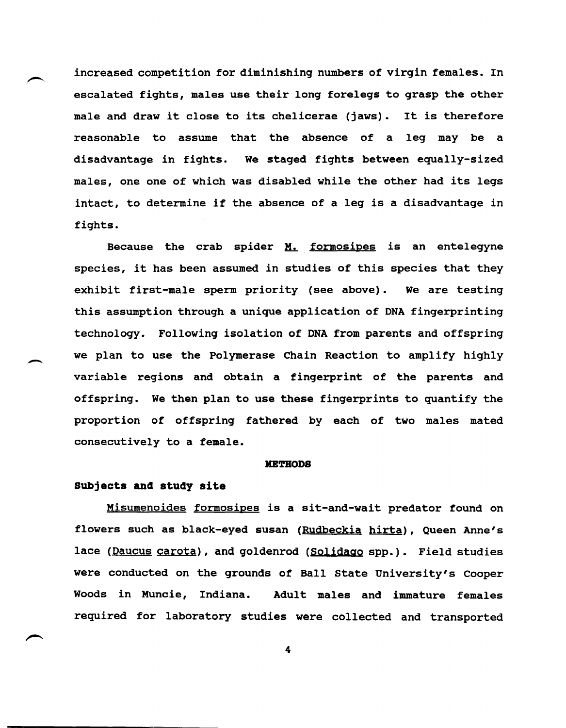increased competition for diminishing numbers of virgin females. In escalated fights, males use their long forelegs to grasp the other male and draw it close to its chelicerae (jaws). It is therefore reasonable to assume that the absence of a leg may be a disadvantage in fights. We staged fights between equally-sized males, one one of which was disabled while the other had its legs intact, to determine if the absence of a leg is a disadvantage in fights.

Because the crab spider  $M$ . formosipes is an entelegyne species, it has been assumed in studies of this species that they exhibit first-male sperm priority (see above). We are testing this assumption through a unique application of DNA fingerprinting technology. Following isolation of DNA from parents and offspring we plan to use the Polymerase Chain Reaction to amplify highly variable regions and obtain a fingerprint of the parents and offspring. We then plan to use these fingerprints to quantify the proportion of offspring fathered by each of two males mated consecutively to a female.

### **METHODS**

## **Subjects and study site**

 $\overline{\phantom{a}}$ 

Misumenoides formosipes is a sit-and-wait predator found on flowers such as black-eyed susan (Rudbeckia hirta), Queen Anne's lace (Daucus carota), and goldenrod (Solidago spp.). Field studies were conducted on the grounds of Ball state University's Cooper Woods in Muncie, Indiana. Adult males and immature females required for laboratory studies were collected and transported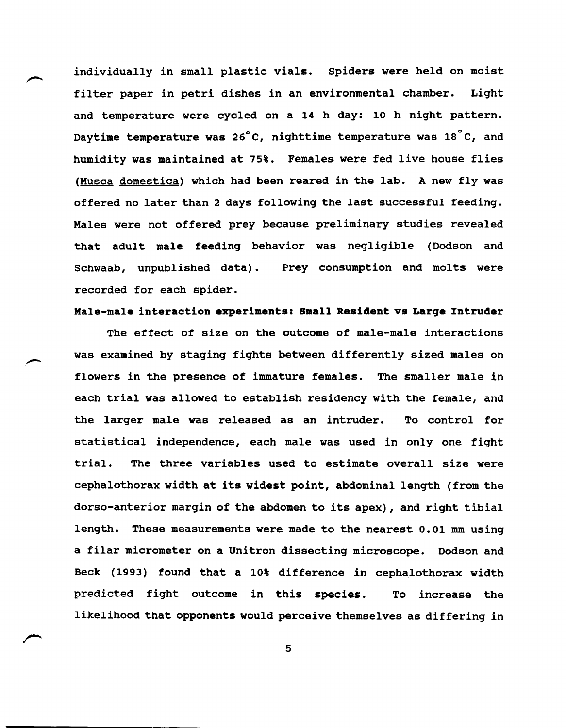individually in small plastic vials. Spiders were held on moist filter paper in petri dishes in an environmental chamber. Light and temperature were cycled on a 14 h day: 10 h night pattern. Daytime temperature was  $26^{\circ}$ C, nighttime temperature was  $18^{\circ}$ C, and humidity was maintained at 75%. Females were fed live house flies (Musca domestica) which had been reared in the lab. A new fly was offered no later than 2 days following the last successful feeding. Males were not offered prey because preliminary studies revealed that adult male feeding behavior was negligible (Dodson and Schwaab, unpublished data). Prey consumption and molts were recorded for each spider.

### **Male-male interaction experiments: Small Resident vs Large Intruder**

The effect of size on the outcome of male-male interactions was examined by staging fights between differently sized males on flowers in the presence of immature females. The smaller male in each trial was allowed to establish residency with the female, and the larger male was released as an intruder. To control for statistical independence, each male was used in only one fight trial. The three variables used to estimate overall size were cephalothorax width at its widest point, abdominal length (from the dorso-anterior margin of the abdomen to its apex), and right tibial length. These measurements were made to the nearest 0.01 mm using a filar micrometer on a Unitron dissecting microscope. Dodson and Beck (1993) found that a 10% difference in cephalothorax width predicted fight outcome in this species. To increase the likelihood that opponents would perceive themselves as differing in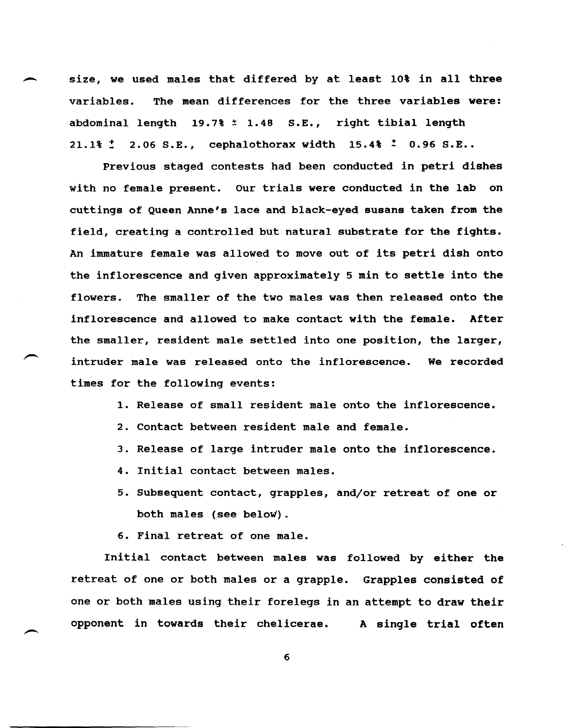size, we used males that differed by at least 10% in all three variables. The mean differences for the three variables were: abdominal length 19.7% \* 1.48 S.E., right tibial length 21.1%  $\ddot{z}$  2.06 S.E., cephalothorax width 15.4%  $\ddot{z}$  0.96 S.E..

Previous staged contests had been conducted in petri dishes with no female present. Our trials were conducted in the lab on cuttings of Queen Anne's lace and black-eyed susans taken from the field, creating a controlled but natural substrate for the fights. An immature female was allowed to move out of its petri dish onto the inflorescence and given approximately 5 min to settle into the flowers. The smaller of the two males was then released onto the inflorescence and allowed to make contact with the female. After the smaller, resident male settled into one position, the larger, intruder male was released onto the inflorescence. times for the following events: We recorded

1. Release of small resident male onto the inflorescence.

- 2. Contact between resident male and female.
- 3. Release of large intruder male onto the inflorescence.
- 4. Initial contact between males.
- 5. Subsequent contact, grapples, and/or retreat of one or both males (see below).
- 6. Final retreat of one male.

Initial contact between males was followed by either the retreat of one or both males or a grapple. Grapples consisted of one or both males using their forelegs in an attempt to draw their opponent in towards their chelicerae. A single trial often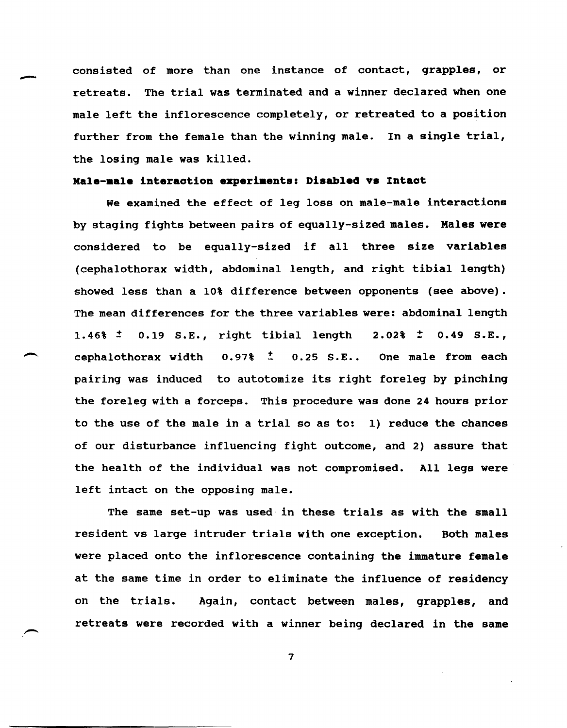- consisted of more than one instance of contact, grapples, or retreats. The trial was terminated and a winner declared when one male left the inflorescence completely, or retreated to a position further from the female than the winning male. In a single trial, the losing male was killed.

## **Kale-male interaction experiments: Disabled vs Intact**

We examined the effect of leg loss on male-male interactions by staging fights between pairs of equally-sized males. Males were considered to be equally-sized if all three size variables (cephalothorax width, abdominal length, and right tibial length) showed less than a 10% difference between opponents (see above). The mean differences for the three variables were: abdominal length 1.46%  $\pm$  0.19 S.E., right tibial length 2.02%  $\pm$  0.49 S.E., cephalothorax width  $0.97\frac{t}{2}$  0.25 S.E.. One male from each pairing was induced to autotomize its right foreleg by pinching the foreleg with a forceps. This procedure was done 24 hours prior to the use of the male in a trial so as to: 1) reduce the chances of our disturbance influencing fight outcome, and 2) assure that the health of the individual was not compromised. All legs were left intact on the opposing male.

The same set-up was used-in these trials as with the small resident vs large intruder trials with one exception. Both males were placed onto the inflorescence containing the immature female at the same time in order to eliminate the influence of residency on the trials. Again, contact between males, grapples, and retreats were recorded with a winner being declared in the same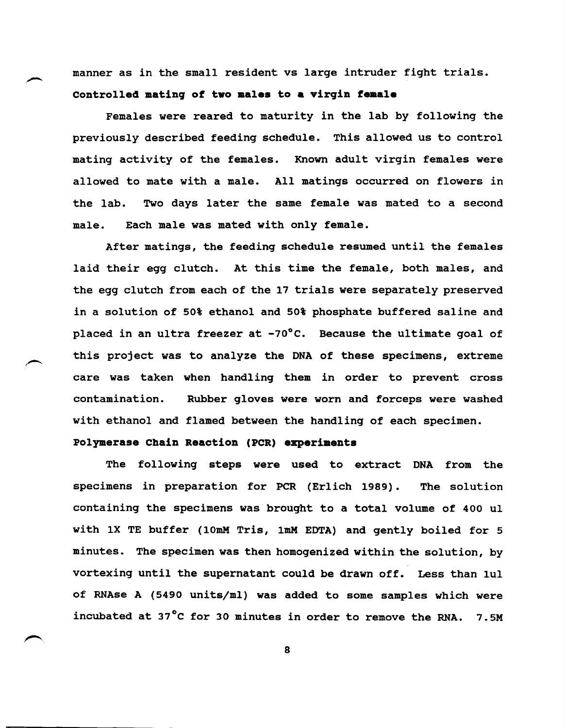manner as in the small resident vs large intruder fight trials. Controlled mating of two males to a virgin female

Females were reared to maturity in the lab by following the previously described feeding schedule. This allowed us to control mating activity of the females. Known adult virgin females were allowed to mate with a male. All matings occurred on flowers in the lab. Two days later the same female was mated to a second male. Each male was mated with only female.

After matings, the feeding schedule resumed until the females laid their egg clutch. At this time the female, both males, and the egg clutch from each of the 17 trials were separately preserved in a solution of 50% ethanol and 50% phosphate buffered saline and placed in an ultra freezer at -70°C. Because the ultimate goal of this project was to analyze the DNA of these specimens, extreme care was taken when handling them in order to prevent cross contamination. Rubber gloves were worn and forceps were washed with ethanol and flamed between the handling of each specimen.

# **Polymerase Chain Reaction (PCR) experiments**

The following steps were used to extract DNA from the specimens in preparation for PCR (Erlich 1989). The solution containing the specimens was brought to a total volume of 400 ul with 1X TE buffer (10mM Tris, 1mM EDTA) and gently boiled for 5 minutes. The specimen was then homogenized within the solution, by vortexing until the supernatant could be drawn off. Less than luI of RNAse A (5490 units/ml) was added to some samples which were incubated at 37°C for 30 minutes in order to remove the RNA. 7.5M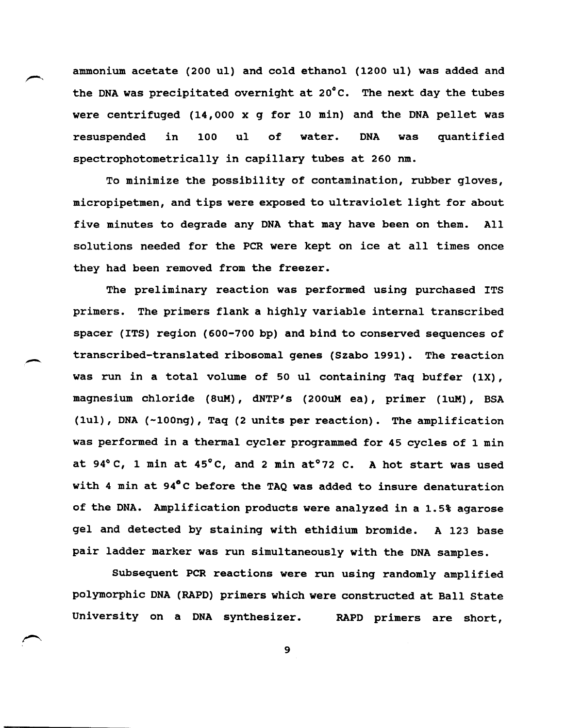ammonium acetate (200 ul) and cold ethanol (1200 ul) was added and the DNA was precipitated overnight at 20°C. The next day the tubes were centrifuged (14,000 x g for 10 min) and the DNA pellet was resuspended in 100 ul of water. DNA was quantified spectrophotometrically in capillary tubes at 260 nm.

To minimize the possibility of contamination, rubber gloves, micropipetmen, and tips were exposed to ultraviolet light for about five minutes to degrade any DNA that may have been on them. All solutions needed for the PCR were kept on ice at all times once they had been removed from the freezer.

The preliminary reaction was performed using purchased ITS primers. The primers flank a highly variable internal transcribed spacer (ITS) region (600-700 bp) and bind to conserved sequences of transcribed-translated ribosomal genes (Szabo 1991). The reaction was run in a total volume of 50 ul containing Taq buffer (1X), magnesium chloride (SuM), dNTP's (200uM ea), primer (luM) , BSA (luI), DNA (-100ng), Taq (2 units per reaction). The amplification was performed in a thermal cycler programmed for 45 cycles of 1 min at  $94^{\circ}$  C, 1 min at  $45^{\circ}$ C, and 2 min at $^{\circ}$ 72 C. A hot start was used with 4 min at 94°C before the TAQ was added to insure denaturation of the DNA. Amplification products were analyzed in a 1.5% agarose gel and detected by staining with ethidium bromide. A 123 base pair ladder marker was run simultaneously with the DNA samples.

-

Subsequent PCR reactions were run using randomly amplified polymorphic DNA (RAPD) primers which were constructed at Ball State University on a DNA synthesizer. RAPD primers are short,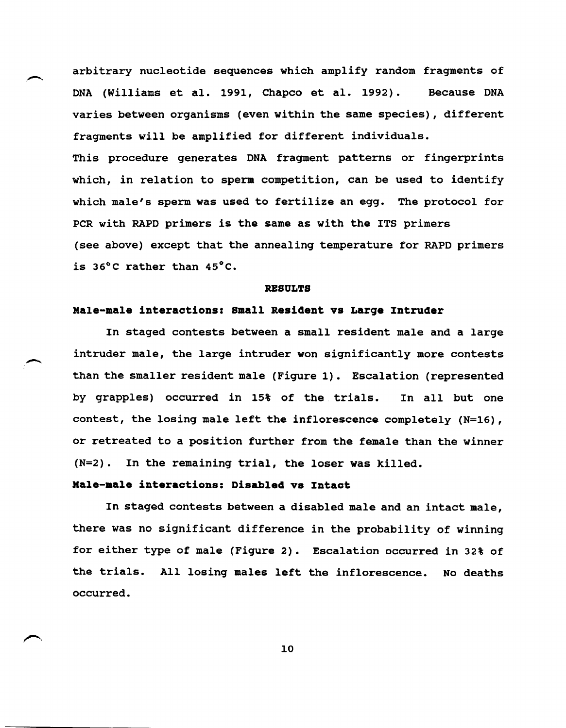arbitrary nucleotide sequences which amplify random fragments of DNA (Williams et al. 1991, Chapco et al. 1992). Because DNA varies between organisms (even within the same species), different fragments will be amplified for different individuals. This procedure generates DNA fragment patterns or fingerprints which, in relation to sperm competition, can be used to identify which male's sperm was used to fertilize an egg. The protocol for PCR with RAPD primers is the same as with the ITS primers (see above) except that the annealing temperature for RAPD primers is 36°C rather than 45°C.

### **RESULTS**

## **Hale-male interactions: Small Resident vs Large Intruder**

In staged contests between a small resident male and a large intruder male, the large intruder won significantly more contests than the smaller resident male (Figure 1). Escalation (represented by grapples) occurred in 15% of the trials. In all but one contest, the losing male left the inflorescence completely (N=16), or retreated to a position further from the female than the winner (N=2). In the remaining trial, the loser was killed.

# **Hale-male interactions: Disabled vs Intact**

In staged contests between a disabled male and an intact male, there was no significant difference in the probability of winning for either type of male (Figure 2). Escalation occurred in 32% of the trials. All losing males left the inflorescence. No deaths occurred.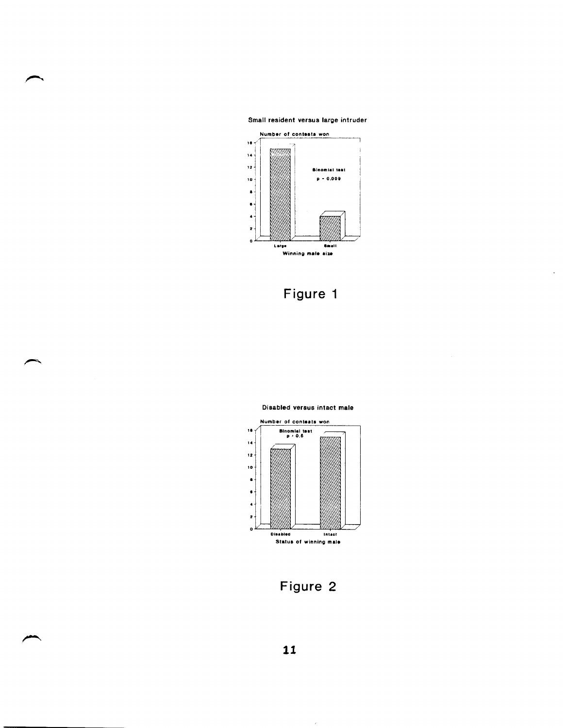Small resident versus large intruder



# **Figure 1**



### Disabled versus intact male

**Figure 2** 

 $\bar{\bar{z}}$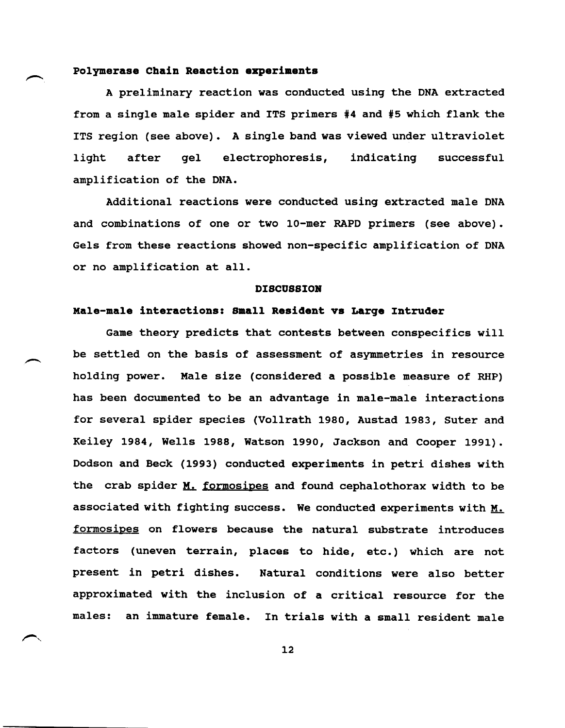## **Polymerase Chain Reaction experiments**

A preliminary reaction was conducted using the DNA extracted from a single male spider and ITS primers #4 and #5 which flank the ITS region (see above). A single band was viewed under ultraviolet light after gel electrophoresis, indicating successful amplification of the DNA.

Additional reactions were conducted using extracted male DNA and combinations of one or two 10-mer RAPD primers (see above). Gels from these reactions showed non-specific amplification of DNA or no amplification at all.

### **DISCOSSIOR**

### **Male-male interactions: Small Resident vs Larqe Intruder**

Game theory predicts that contests between conspecifics will be settled on the basis of assessment of asymmetries in resource holding power. Male size (considered a possible measure of RHP) has been documented to be an advantage in male-male interactions for several spider species (Vollrath 1980, Austad 1983, Suter and Keiley 1984, Wells 1988, Watson 1990, Jackson and Cooper 1991). Dodson and Beck (1993) conducted experiments in petri dishes with the crab spider M. formosipes and found cephalothorax width to be associated with fighting success. We conducted experiments with M. formosipes on flowers because the natural substrate introduces factors (uneven terrain, places to hide, etc.) which are not present in petri dishes. Natural conditions were also better approximated with the inclusion of a critical resource for the males: an immature female. In trials with a small resident male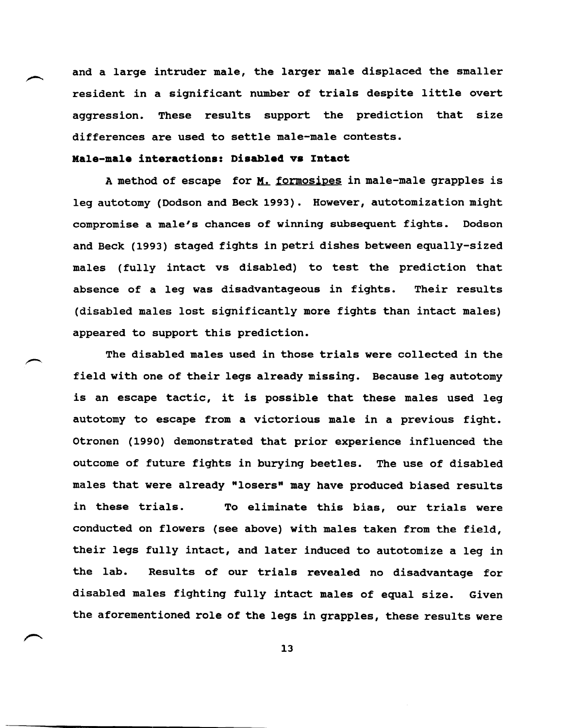and a large intruder male, the larger male displaced the smaller resident in a significant number of trials despite little overt aggression. These results support the prediction that size differences are used to settle male-male contests.

## **Kale-male interactions: Disabled va Intact**

A method of escape for M. formosipes in male-male grapples is leg autotomy (Dodson and Beck 1993). However, autotomization might compromise a male's chances of winning subsequent fights. Dodson and Beck (1993) staged fights in petri dishes between equally-sized males (fully intact vs disabled) to test the prediction that absence of a leg was disadvantageous in fights. Their results (disabled males lost significantly more fights than intact males) appeared to support this prediction.

The disabled males used in those trials were collected in the field with one of their legs already missing. Because leg autotomy is an escape tactic, it is possible that these males used leg autotomy to escape from a victorious male in a previous fight. otronen (1990) demonstrated that prior experience influenced the outcome of future fights in burying beetles. The use of disabled males that were already "losers" may have produced biased results in these trials. To eliminate this bias, our trials were conducted on flowers (see above) with males taken from the field, their legs fully intact, and later induced to autotomize a leg in the lab. Results of our trials revealed no disadvantage for disabled males fighting fully intact males of equal size. Given the aforementioned role of the legs in grapples, these results were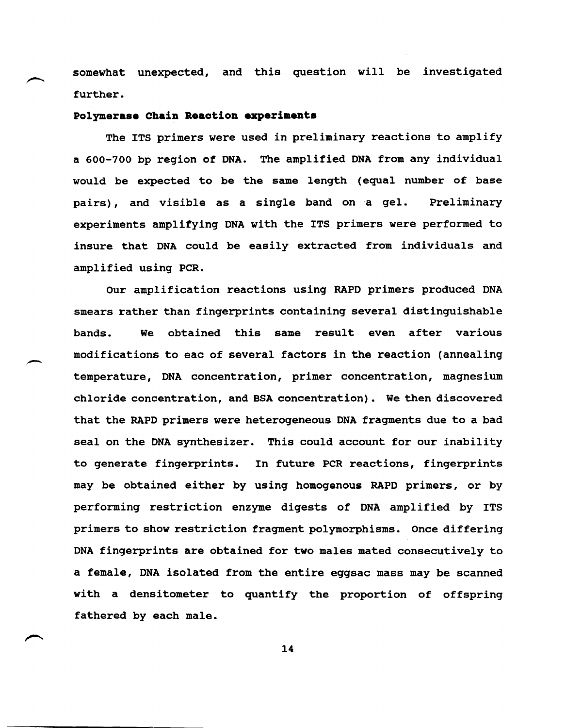somewhat unexpected, and this question will be investigated further.

# **Polymerase Chain Reaction experiments**

The ITS primers were used in preliminary reactions to amplify a 600-700 bp region of DNA. The amplified DNA from any individual would be expected to be the same length (equal number of base pairs), and visible as a single band on a gel. Preliminary experiments amplifying DNA with the ITS primers were performed to insure that DNA could be easily extracted from individuals and amplified using PCR.

Our amplification reactions using RAPD primers produced DNA smears rather than fingerprints containing several distinguishable bands. We obtained this same result even after various modifications to eac of several factors in the reaction (annealing temperature, DNA concentration, primer concentration, magnesium chloride concentration, and BSA concentration). We then discovered that the RAPD primers were heterogeneous DNA fragments due to a bad seal on the DNA synthesizer. This could account for our inability to generate fingerprints. In future PCR reactions, fingerprints may be obtained either by using homogenous RAPD primers, or by performing restriction enzyme digests of DNA amplified by ITS primers to show restriction fragment polymorphisms. Once differing DNA fingerprints are obtained for two males mated consecutively to a female, DNA isolated from the entire eggsac mass may be scanned with a densitometer to quantify the proportion of offspring fathered by each male.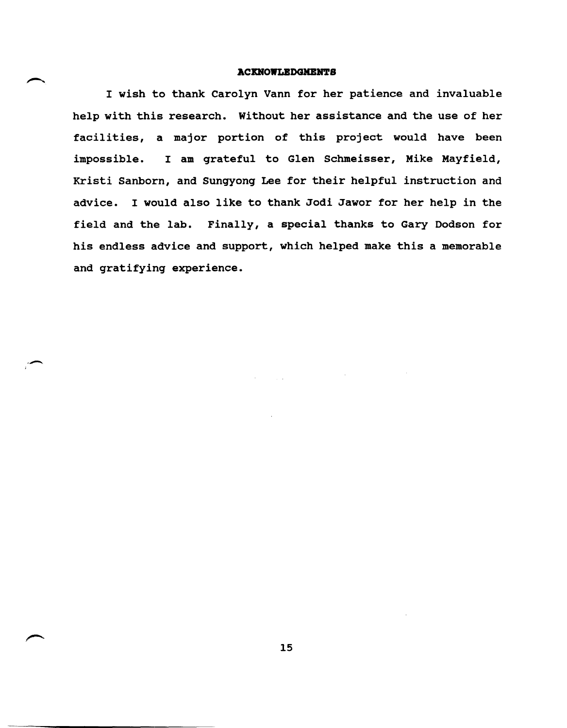### **ACKNOWLEDGMENTS**

I wish to thank Carolyn Vann for her patience and invaluable help with this research. Without her assistance and the use of her facilities, a major portion of this project would have been impossible. I am grateful to Glen Schmeisser, Mike Mayfield, Kristi Sanborn, and Sungyong Lee for their helpful instruction and advice. I would also like to thank Jodi Jawor for her help in the field and the lab. Finally, a special thanks to Gary Dodson for his endless advice and support, which helped make this a memorable and gratifying experience.

--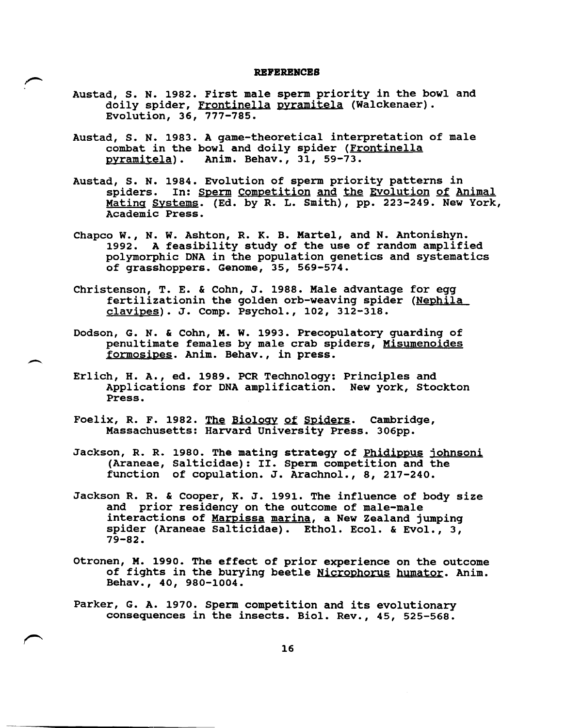### **REPEREBCES**

- Austad, S. N. 1982. First male sperm priority in the bowl and doily spider, Frontinella pyramitela (Walckenaer). Evolution, 36, 777-785.
- Austad, S. N. 1983. A game-theoretical interpretation of male combat in the bowl and doily spider (Frontinella pyramitela). Anim. Behav., 31, 59-73. Anim. Behav., 31, 59-73.
- Austad, S. N. 1984. Evolution of sperm priority patterns in spiders. In: Sperm Competition and the Evolution of Animal Mating Systems. (Ed. by R. L. Smith), pp. 223-249. New York, Academic Press.
- Chapco W., N. W. Ashton, R. K. B. Martel, and N. Antonishyn. 1992. A feasibility study of the use of random amplified polymorphic DNA in the population genetics and systematics of grasshoppers. Genome, 35, 569-574.
- Christenson, T. E. & Cohn, J. 1988. Male advantage for egg fertilizationin the golden orb-weaving spider (Nephila  $clavipes$ . J. Comp. Psychol., 102, 312-318.
- Dodson, G. N. & Cohn, M. W. 1993. Precopulatory guarding of penultimate females by male crab spiders, Misumenoides formosipes. Anim. Behav., in press.
- Erlich, H. A., ed. 1989. PCR Technology: principles and Applications for DNA amplification. New york, Stockton Press.
- Foelix, R. F. 1982. The Biology of Spiders. Cambridge, Massachusetts: Harvard University Press. 306pp.
- Jackson, R. R. 1980. The mating strategy of Phidippus johnsoni (Araneae, Salticidae): II. Sperm competition and the function of copulation. J. Arachnol., 8, 217-240.
- Jackson R. R. & Cooper, K. J. 1991. The influence of body size and prior residency on the outcome of male-male interactions of Marpissa marina, a New Zealand jumping spider (Araneae Salticidae). Ethol. Ecol. & Evol., 3, 79-82.
- otronen, M. 1990. The effect of prior experience on the outcome of fights in the burying beetle Nicrophorus humator. Anim. Behav., 40, 980-1004.
- Parker, G. A. 1970. Sperm competition and its evolutionary consequences in the insects. BioI. Rev., 45, 525-568.